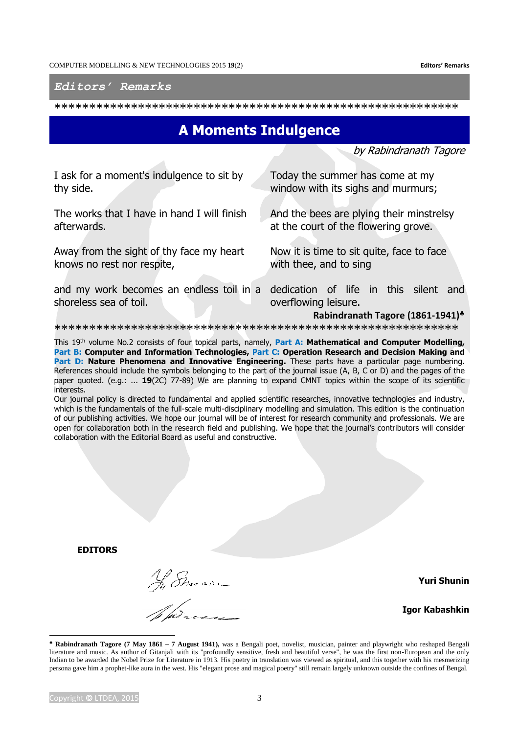**Editors' Remarks** 

Editors' Remarks

## **A Moments Indulgence**

by Rabindranath Tagore

I ask for a moment's indulgence to sit by thy side.

The works that I have in hand I will finish afterwards.

Away from the sight of thy face my heart knows no rest nor respite,

shoreless sea of toil.

Today the summer has come at my window with its sighs and murmurs;

And the bees are plying their minstrelsy at the court of the flowering grove.

Now it is time to sit quite, face to face with thee, and to sing

and my work becomes an endless toil in a dedication of life in this silent and overflowing leisure.

Rabindranath Tagore (1861-1941)\*

This 19th volume No.2 consists of four topical parts, namely, Part A: Mathematical and Computer Modelling, Part B: Computer and Information Technologies, Part C: Operation Research and Decision Making and Part D: Nature Phenomena and Innovative Engineering. These parts have a particular page numbering. References should include the symbols belonging to the part of the journal issue (A, B, C or D) and the pages of the paper quoted. (e.g.: ... 19(2C) 77-89) We are planning to expand CMNT topics within the scope of its scientific interests.

Our journal policy is directed to fundamental and applied scientific researches, innovative technologies and industry, which is the fundamentals of the full-scale multi-disciplinary modelling and simulation. This edition is the continuation of our publishing activities. We hope our journal will be of interest for research community and professionals. We are open for collaboration both in the research field and publishing. We hope that the journal's contributors will consider collaboration with the Editorial Board as useful and constructive.

**EDITORS** 

Ny Emman<br>Ny Dresse

**Yuri Shunin** 

**Igor Kabashkin** 

<sup>\*</sup> Rabindranath Tagore (7 May 1861 - 7 August 1941), was a Bengali poet, novelist, musician, painter and playwright who reshaped Bengali literature and music. As author of Gitanjali with its "profoundly sensitive, fresh and beautiful verse", he was the first non-European and the only Indian to be awarded the Nobel Prize for Literature in 1913. His poetry in translation was viewed as spiritual, and this together with his mesmerizing persona gave him a prophet-like aura in the west. His "elegant prose and magical poetry" still remain largely unknown outside the confines of Bengal.